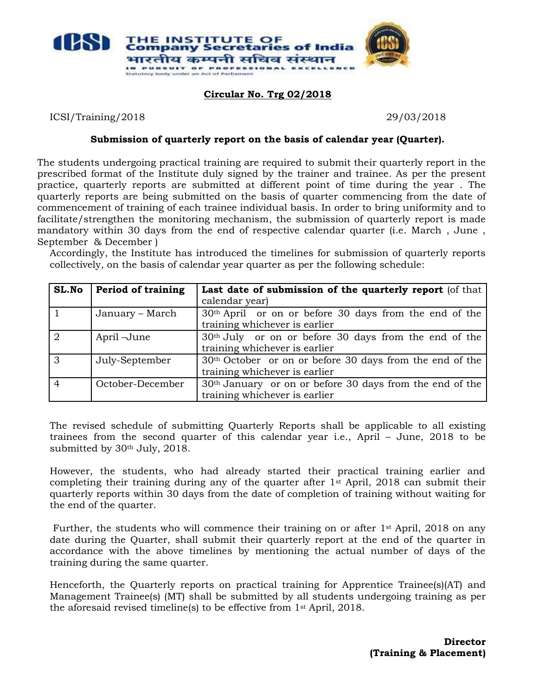

## **Circular No. Trg 02/2018**

ICSI/Training/2018 29/03/2018

## **Submission of quarterly report on the basis of calendar year (Quarter).**

The students undergoing practical training are required to submit their quarterly report in the prescribed format of the Institute duly signed by the trainer and trainee. As per the present practice, quarterly reports are submitted at different point of time during the year . The quarterly reports are being submitted on the basis of quarter commencing from the date of commencement of training of each trainee individual basis. In order to bring uniformity and to facilitate/strengthen the monitoring mechanism, the submission of quarterly report is made mandatory within 30 days from the end of respective calendar quarter (i.e. March , June , September & December )

Accordingly, the Institute has introduced the timelines for submission of quarterly reports collectively, on the basis of calendar year quarter as per the following schedule:

| SL.No          | <b>Period of training</b> | Last date of submission of the quarterly report (of that             |  |  |
|----------------|---------------------------|----------------------------------------------------------------------|--|--|
|                |                           | calendar year)                                                       |  |  |
|                | January – March           | 30 <sup>th</sup> April or on or before 30 days from the end of the   |  |  |
|                |                           | training whichever is earlier                                        |  |  |
| $\sqrt{2}$     | April-June                | 30 <sup>th</sup> July or on or before 30 days from the end of the    |  |  |
|                |                           | training whichever is earlier                                        |  |  |
| $\overline{3}$ | July-September            | 30 <sup>th</sup> October or on or before 30 days from the end of the |  |  |
|                |                           | training whichever is earlier                                        |  |  |
| $\overline{4}$ | October-December          | 30 <sup>th</sup> January or on or before 30 days from the end of the |  |  |
|                |                           | training whichever is earlier                                        |  |  |

The revised schedule of submitting Quarterly Reports shall be applicable to all existing trainees from the second quarter of this calendar year i.e., April – June, 2018 to be submitted by 30<sup>th</sup> July, 2018.

However, the students, who had already started their practical training earlier and completing their training during any of the quarter after  $1<sup>st</sup>$  April, 2018 can submit their quarterly reports within 30 days from the date of completion of training without waiting for the end of the quarter.

Further, the students who will commence their training on or after  $1<sup>st</sup>$  April, 2018 on any date during the Quarter, shall submit their quarterly report at the end of the quarter in accordance with the above timelines by mentioning the actual number of days of the training during the same quarter.

Henceforth, the Quarterly reports on practical training for Apprentice Trainee(s)(AT) and Management Trainee(s) (MT) shall be submitted by all students undergoing training as per the aforesaid revised timeline(s) to be effective from 1st April, 2018.